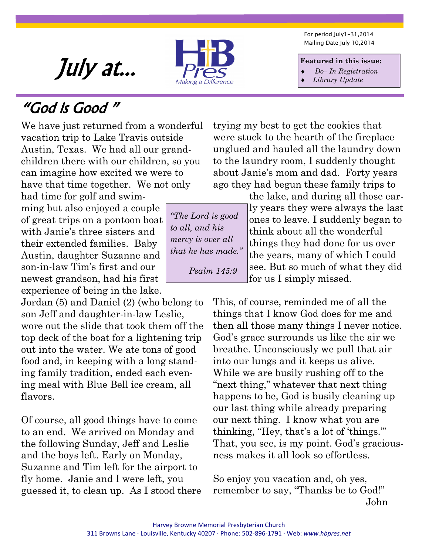For period July1-31,2014 Mailing Date July 10,2014

#### **Featured in this issue:**

- ♦ *Do– In Registration*
- ♦ *Library Update*

July at...

### "God is Good "

We have just returned from a wonderful vacation trip to Lake Travis outside Austin, Texas. We had all our grandchildren there with our children, so you can imagine how excited we were to have that time together. We not only had time for golf and swim-

ming but also enjoyed a couple of great trips on a pontoon boat with Janie's three sisters and their extended families. Baby Austin, daughter Suzanne and son-in-law Tim's first and our newest grandson, had his first experience of being in the lake.

Jordan (5) and Daniel (2) (who belong to son Jeff and daughter-in-law Leslie, wore out the slide that took them off the top deck of the boat for a lightening trip out into the water. We ate tons of good food and, in keeping with a long standing family tradition, ended each evening meal with Blue Bell ice cream, all flavors.

Of course, all good things have to come to an end. We arrived on Monday and the following Sunday, Jeff and Leslie and the boys left. Early on Monday, Suzanne and Tim left for the airport to fly home. Janie and I were left, you guessed it, to clean up. As I stood there trying my best to get the cookies that were stuck to the hearth of the fireplace unglued and hauled all the laundry down to the laundry room, I suddenly thought about Janie's mom and dad. Forty years ago they had begun these family trips to

the lake, and during all those early years they were always the last ones to leave. I suddenly began to think about all the wonderful things they had done for us over the years, many of which I could see. But so much of what they did for us I simply missed.

This, of course, reminded me of all the things that I know God does for me and then all those many things I never notice. God's grace surrounds us like the air we breathe. Unconsciously we pull that air into our lungs and it keeps us alive. While we are busily rushing off to the "next thing," whatever that next thing happens to be, God is busily cleaning up our last thing while already preparing our next thing. I know what you are thinking, "Hey, that's a lot of 'things.'" That, you see, is my point. God's graciousness makes it all look so effortless.

So enjoy you vacation and, oh yes, remember to say, "Thanks be to God!" John

*"The Lord is good to all, and his mercy is over all that he has made." Psalm 145:9* 

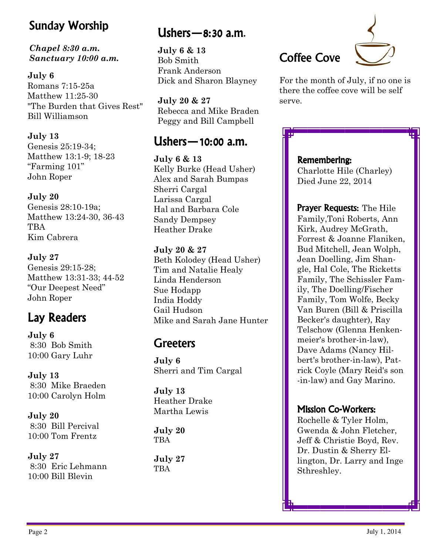### Sunday Worship

#### *Chapel 8:30 a.m. Sanctuary 10:00 a.m.*

**July 6** 

Romans 7:15-25a Matthew 11:25-30 "The Burden that Gives Rest" Bill Williamson

**July 13** 

Genesis 25:19-34; Matthew 13:1-9; 18-23 "Farming 101" John Roper

#### **July 20**

Genesis 28:10-19a; Matthew 13:24-30, 36-43 **TBA** Kim Cabrera

**July 27**  Genesis 29:15-28; Matthew 13:31-33; 44-52 "Our Deepest Need" John Roper

**July 6**  8:30 Bob Smith 10:00 Gary Luhr

**July 13**  8:30 Mike Braeden 10:00 Carolyn Holm

**July 20**  8:30 Bill Percival 10:00 Tom Frentz

**July 27**  8:30 Eric Lehmann 10:00 Bill Blevin

#### Ushers  $-$  8:30 a.m.

**July 6 & 13**  Bob Smith Frank Anderson Dick and Sharon Blayney

**July 20 & 27**  Rebecca and Mike Braden Peggy and Bill Campbell

#### **shers — 10:00 a.m.**

**July 6 & 13**  Kelly Burke (Head Usher) Alex and Sarah Bumpas Sherri Cargal Larissa Cargal Hal and Barbara Cole Sandy Dempsey Heather Drake

#### **July 20 & 27**

Beth Kolodey (Head Usher) Tim and Natalie Healy Linda Henderson Sue Hodapp India Hoddy Gail Hudson Lay Readers Lay Mike and Sarah Jane Hunter

#### Greeters

**July 6**  Sherri and Tim Cargal

**July 13**  Heather Drake Martha Lewis

**July 20 TBA** 

**July 27**  TBA





For the month of July, if no one is there the coffee cove will be self serve.

#### Remembering:

Charlotte Hile (Charley) Died June 22, 2014

Prayer Requests: The Hile Family,Toni Roberts, Ann Kirk, Audrey McGrath, Forrest & Joanne Flaniken, Bud Mitchell, Jean Wolph, Jean Doelling, Jim Shangle, Hal Cole, The Ricketts Family, The Schissler Family, The Doelling/Fischer Family, Tom Wolfe, Becky Van Buren (Bill & Priscilla Becker's daughter), Ray Telschow (Glenna Henkenmeier's brother-in-law), Dave Adams (Nancy Hilbert's brother-in-law), Patrick Coyle (Mary Reid's son -in-law) and Gay Marino.

#### **Mission Co-Workers:**

Rochelle & Tyler Holm, Gwenda & John Fletcher, Jeff & Christie Boyd, Rev. Dr. Dustin & Sherry Ellington, Dr. Larry and Inge Sthreshley.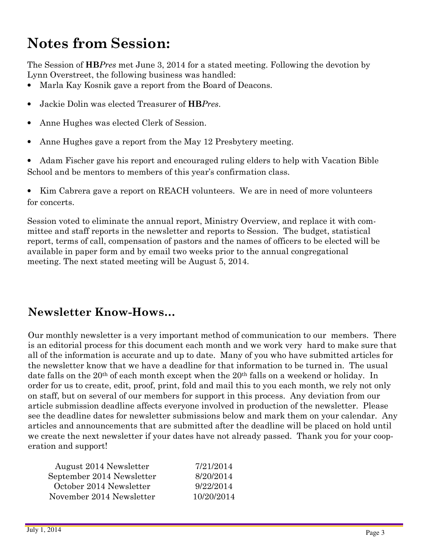### **Notes from Session:**

The Session of **HB***Pres* met June 3, 2014 for a stated meeting. Following the devotion by Lynn Overstreet, the following business was handled:

- Marla Kay Kosnik gave a report from the Board of Deacons.
- Jackie Dolin was elected Treasurer of **HB***Pres*.
- Anne Hughes was elected Clerk of Session.
- Anne Hughes gave a report from the May 12 Presbytery meeting.

• Adam Fischer gave his report and encouraged ruling elders to help with Vacation Bible School and be mentors to members of this year's confirmation class.

• Kim Cabrera gave a report on REACH volunteers. We are in need of more volunteers for concerts.

Session voted to eliminate the annual report, Ministry Overview, and replace it with committee and staff reports in the newsletter and reports to Session. The budget, statistical report, terms of call, compensation of pastors and the names of officers to be elected will be available in paper form and by email two weeks prior to the annual congregational meeting. The next stated meeting will be August 5, 2014.

#### **Newsletter Know-Hows…**

Our monthly newsletter is a very important method of communication to our members. There is an editorial process for this document each month and we work very hard to make sure that all of the information is accurate and up to date. Many of you who have submitted articles for the newsletter know that we have a deadline for that information to be turned in. The usual date falls on the 20<sup>th</sup> of each month except when the 20<sup>th</sup> falls on a weekend or holiday. In order for us to create, edit, proof, print, fold and mail this to you each month, we rely not only on staff, but on several of our members for support in this process. Any deviation from our article submission deadline affects everyone involved in production of the newsletter. Please see the deadline dates for newsletter submissions below and mark them on your calendar. Any articles and announcements that are submitted after the deadline will be placed on hold until we create the next newsletter if your dates have not already passed. Thank you for your cooperation and support!

| August 2014 Newsletter    | 7/21/2014  |
|---------------------------|------------|
| September 2014 Newsletter | 8/20/2014  |
| October 2014 Newsletter   | 9/22/2014  |
| November 2014 Newsletter  | 10/20/2014 |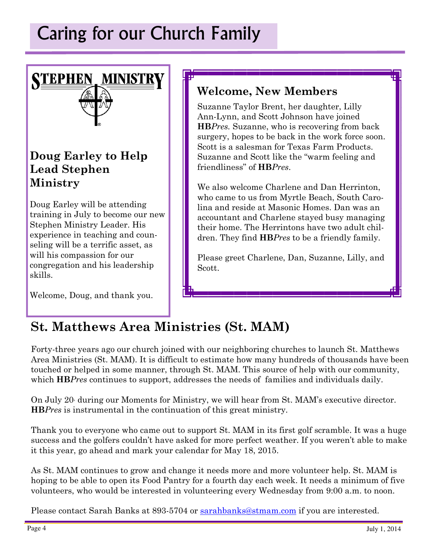**STEPHEN MINISTRY** 

#### **Doug Earley to Help Lead Stephen Ministry**

Doug Earley will be attending training in July to become our new Stephen Ministry Leader. His experience in teaching and counseling will be a terrific asset, as will his compassion for our congregation and his leadership skills.

Welcome, Doug, and thank you.

#### **Welcome, New Members**

Suzanne Taylor Brent, her daughter, Lilly Ann-Lynn, and Scott Johnson have joined **HB***Pres.* Suzanne, who is recovering from back surgery, hopes to be back in the work force soon. Scott is a salesman for Texas Farm Products. Suzanne and Scott like the "warm feeling and friendliness" of **HB***Pres*.

We also welcome Charlene and Dan Herrinton, who came to us from Myrtle Beach, South Carolina and reside at Masonic Homes. Dan was an accountant and Charlene stayed busy managing their home. The Herrintons have two adult children. They find **HB***Pres* to be a friendly family.

Please greet Charlene, Dan, Suzanne, Lilly, and Scott.

### **St. Matthews Area Ministries (St. MAM)**

Forty-three years ago our church joined with our neighboring churches to launch St. Matthews Area Ministries (St. MAM). It is difficult to estimate how many hundreds of thousands have been touched or helped in some manner, through St. MAM. This source of help with our community, which **HB***Pres* continues to support, addresses the needs of families and individuals daily.

On July 20, during our Moments for Ministry, we will hear from St. MAM's executive director. **HB***Pres* is instrumental in the continuation of this great ministry.

Thank you to everyone who came out to support St. MAM in its first golf scramble. It was a huge success and the golfers couldn't have asked for more perfect weather. If you weren't able to make it this year, go ahead and mark your calendar for May 18, 2015.

As St. MAM continues to grow and change it needs more and more volunteer help. St. MAM is hoping to be able to open its Food Pantry for a fourth day each week. It needs a minimum of five volunteers, who would be interested in volunteering every Wednesday from 9:00 a.m. to noon.

Please contact Sarah Banks at 893-5704 or sarahbanks@stmam.com if you are interested.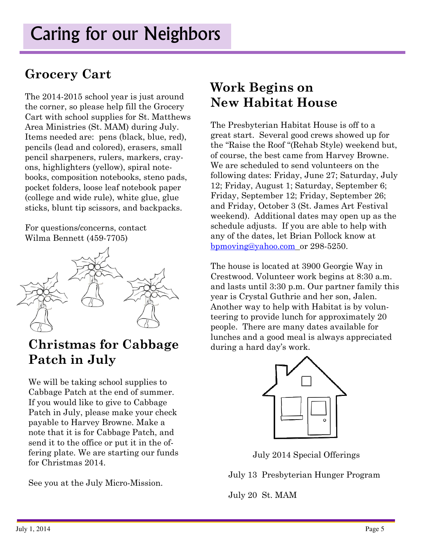#### **Grocery Cart**

The 2014-2015 school year is just around the corner, so please help fill the Grocery Cart with school supplies for St. Matthews Area Ministries (St. MAM) during July. Items needed are: pens (black, blue, red), pencils (lead and colored), erasers, small pencil sharpeners, rulers, markers, crayons, highlighters (yellow), spiral notebooks, composition notebooks, steno pads, pocket folders, loose leaf notebook paper (college and wide rule), white glue, glue sticks, blunt tip scissors, and backpacks.

For questions/concerns, contact Wilma Bennett (459-7705)



# **Patch in July**

We will be taking school supplies to Cabbage Patch at the end of summer. If you would like to give to Cabbage Patch in July, please make your check payable to Harvey Browne. Make a note that it is for Cabbage Patch, and send it to the office or put it in the offering plate. We are starting our funds for Christmas 2014.

See you at the July Micro-Mission.

### **Work Begins on New Habitat House**

The Presbyterian Habitat House is off to a great start. Several good crews showed up for the "Raise the Roof "(Rehab Style) weekend but, of course, the best came from Harvey Browne. We are scheduled to send volunteers on the following dates: Friday, June 27; Saturday, July 12; Friday, August 1; Saturday, September 6; Friday, September 12; Friday, September 26; and Friday, October 3 (St. James Art Festival weekend). Additional dates may open up as the schedule adjusts. If you are able to help with any of the dates, let Brian Pollock know at bpmoving@yahoo.com or 298-5250.

The house is located at 3900 Georgie Way in Crestwood. Volunteer work begins at 8:30 a.m. and lasts until 3:30 p.m. Our partner family this year is Crystal Guthrie and her son, Jalen. Another way to help with Habitat is by volunteering to provide lunch for approximately 20 people. There are many dates available for **Christmas for Cabbage** lunches and a good meal is always appreciated **Christmas for Cabbage** during a hard day's work.



July 2014 Special Offerings

July 13 Presbyterian Hunger Program

July 20 St. MAM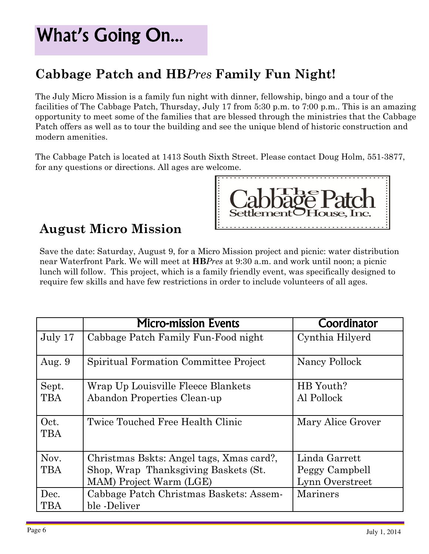## What's Going On...

### **Cabbage Patch and HB***Pres* **Family Fun Night!**

The July Micro Mission is a family fun night with dinner, fellowship, bingo and a tour of the facilities of The Cabbage Patch, Thursday, July 17 from 5:30 p.m. to 7:00 p.m.. This is an amazing opportunity to meet some of the families that are blessed through the ministries that the Cabbage Patch offers as well as to tour the building and see the unique blend of historic construction and modern amenities.

The Cabbage Patch is located at 1413 South Sixth Street. Please contact Doug Holm, 551-3877, for any questions or directions. All ages are welcome.



#### **August Micro Mission**

Save the date: Saturday, August 9, for a Micro Mission project and picnic: water distribution near Waterfront Park. We will meet at **HB***Pres* at 9:30 a.m. and work until noon; a picnic lunch will follow. This project, which is a family friendly event, was specifically designed to require few skills and have few restrictions in order to include volunteers of all ages.

|            | <b>Micro-mission Events</b>              | Coordinator       |
|------------|------------------------------------------|-------------------|
| July 17    | Cabbage Patch Family Fun-Food night      | Cynthia Hilyerd   |
| Aug. $9$   | Spiritual Formation Committee Project    | Nancy Pollock     |
| Sept.      | Wrap Up Louisville Fleece Blankets       | HB Youth?         |
| <b>TBA</b> | Abandon Properties Clean-up              | Al Pollock        |
| Oct.       | Twice Touched Free Health Clinic         | Mary Alice Grover |
| <b>TBA</b> |                                          |                   |
| Nov.       | Christmas Bskts: Angel tags, Xmas card?, | Linda Garrett     |
| <b>TBA</b> | Shop, Wrap Thanksgiving Baskets (St.     | Peggy Campbell    |
|            | MAM) Project Warm (LGE)                  | Lynn Overstreet   |
| Dec.       | Cabbage Patch Christmas Baskets: Assem-  | Mariners          |
| TBA        | ble -Deliver                             |                   |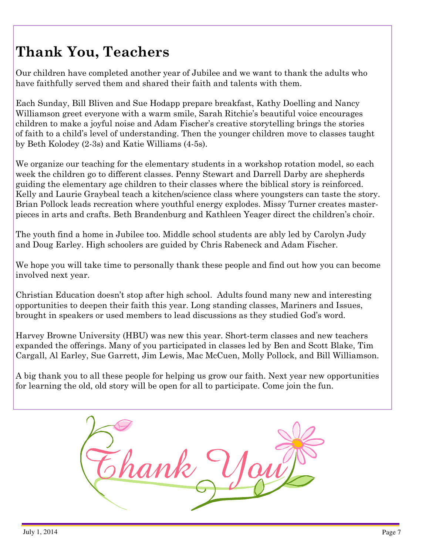### **Thank You, Teachers**

Our children have completed another year of Jubilee and we want to thank the adults who have faithfully served them and shared their faith and talents with them.

Each Sunday, Bill Bliven and Sue Hodapp prepare breakfast, Kathy Doelling and Nancy Williamson greet everyone with a warm smile, Sarah Ritchie's beautiful voice encourages children to make a joyful noise and Adam Fischer's creative storytelling brings the stories of faith to a child's level of understanding. Then the younger children move to classes taught by Beth Kolodey (2-3s) and Katie Williams (4-5s).

We organize our teaching for the elementary students in a workshop rotation model, so each week the children go to different classes. Penny Stewart and Darrell Darby are shepherds guiding the elementary age children to their classes where the biblical story is reinforced. Kelly and Laurie Graybeal teach a kitchen/science class where youngsters can taste the story. Brian Pollock leads recreation where youthful energy explodes. Missy Turner creates masterpieces in arts and crafts. Beth Brandenburg and Kathleen Yeager direct the children's choir.

The youth find a home in Jubilee too. Middle school students are ably led by Carolyn Judy and Doug Earley. High schoolers are guided by Chris Rabeneck and Adam Fischer.

We hope you will take time to personally thank these people and find out how you can become involved next year.

Christian Education doesn't stop after high school. Adults found many new and interesting opportunities to deepen their faith this year. Long standing classes, Mariners and Issues, brought in speakers or used members to lead discussions as they studied God's word.

Harvey Browne University (HBU) was new this year. Short-term classes and new teachers expanded the offerings. Many of you participated in classes led by Ben and Scott Blake, Tim Cargall, Al Earley, Sue Garrett, Jim Lewis, Mac McCuen, Molly Pollock, and Bill Williamson.

A big thank you to all these people for helping us grow our faith. Next year new opportunities for learning the old, old story will be open for all to participate. Come join the fun.

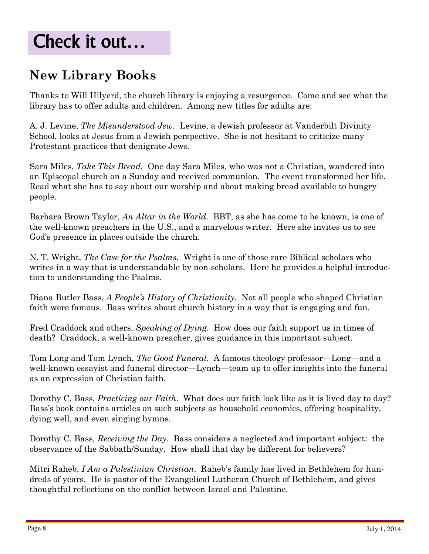### Check it out…

### **New Library Books**

 Thanks to Will Hilyerd, the church library is enjoying a resurgence. Come and see what the library has to offer adults and children. Among new titles for adults are:

A. J. Levine, *The Misunderstood Jew*. Levine, a Jewish professor at Vanderbilt Divinity School, looks at Jesus from a Jewish perspective. She is not hesitant to criticize many Protestant practices that denigrate Jews.

Sara Miles, *Take This Bread.* One day Sara Miles, who was not a Christian, wandered into an Episcopal church on a Sunday and received communion. The event transformed her life. Read what she has to say about our worship and about making bread available to hungry people.

Barbara Brown Taylor, *An Altar in the World*. BBT, as she has come to be known, is one of the well-known preachers in the U.S., and a marvelous writer. Here she invites us to see God's presence in places outside the church.

N. T. Wright, *The Case for the Psalms*. Wright is one of those rare Biblical scholars who writes in a way that is understandable by non-scholars. Here he provides a helpful introduction to understanding the Psalms.

Diana Butler Bass, *A People's History of Christianity.* Not all people who shaped Christian faith were famous. Bass writes about church history in a way that is engaging and fun.

Fred Craddock and others, *Speaking of Dying*. How does our faith support us in times of death? Craddock, a well-known preacher, gives guidance in this important subject.

Tom Long and Tom Lynch, *The Good Funeral*. A famous theology professor—Long—and a well-known essayist and funeral director—Lynch—team up to offer insights into the funeral as an expression of Christian faith.

Dorothy C. Bass, *Practicing our Faith*. What does our faith look like as it is lived day to day? Bass's book contains articles on such subjects as household economics, offering hospitality, dying well, and even singing hymns.

Dorothy C. Bass, *Receiving the Day*. Bass considers a neglected and important subject: the observance of the Sabbath/Sunday. How shall that day be different for believers?

Mitri Raheb, *I Am a Palestinian Christian*. Raheb's family has lived in Bethlehem for hundreds of years. He is pastor of the Evangelical Lutheran Church of Bethlehem, and gives thoughtful reflections on the conflict between Israel and Palestine.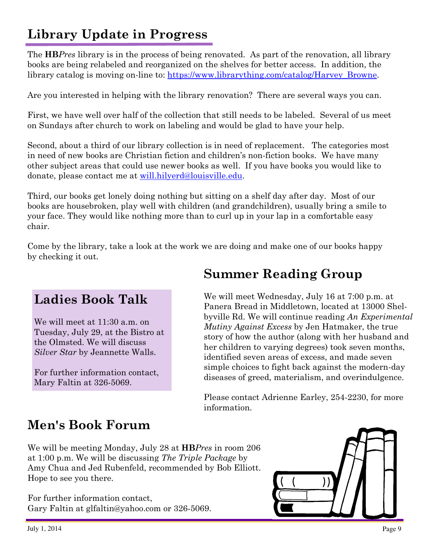### **Library Update in Progress**

The **HB***Pres* library is in the process of being renovated. As part of the renovation, all library books are being relabeled and reorganized on the shelves for better access. In addition, the library catalog is moving on-line to: https://www.librarything.com/catalog/Harvey\_Browne.

Are you interested in helping with the library renovation? There are several ways you can.

First, we have well over half of the collection that still needs to be labeled. Several of us meet on Sundays after church to work on labeling and would be glad to have your help.

Second, about a third of our library collection is in need of replacement. The categories most in need of new books are Christian fiction and children's non-fiction books. We have many other subject areas that could use newer books as well. If you have books you would like to donate, please contact me at will.hilyerd@louisville.edu.

Third, our books get lonely doing nothing but sitting on a shelf day after day. Most of our books are housebroken, play well with children (and grandchildren), usually bring a smile to your face. They would like nothing more than to curl up in your lap in a comfortable easy chair.

Come by the library, take a look at the work we are doing and make one of our books happy by checking it out.

#### **Ladies Book Talk**

We will meet at 11:30 a.m. on Tuesday, July 29, at the Bistro at the Olmsted. We will discuss *Silver Star* by Jeannette Walls.

For further information contact, Mary Faltin at 326-5069.

#### **Summer Reading Group**

We will meet Wednesday, July 16 at 7:00 p.m. at Panera Bread in Middletown, located at 13000 Shelbyville Rd. We will continue reading *An Experimental Mutiny Against Excess* by Jen Hatmaker, the true story of how the author (along with her husband and her children to varying degrees) took seven months, identified seven areas of excess, and made seven simple choices to fight back against the modern-day diseases of greed, materialism, and overindulgence.

Please contact Adrienne Earley, 254-2230, for more information.

#### **Men's Book Forum**

We will be meeting Monday, July 28 at **HB***Pres* in room 206 at 1:00 p.m. We will be discussing *The Triple Package* by Amy Chua and Jed Rubenfeld, recommended by Bob Elliott. Hope to see you there.

For further information contact, Gary Faltin at glfaltin@yahoo.com or 326-5069.

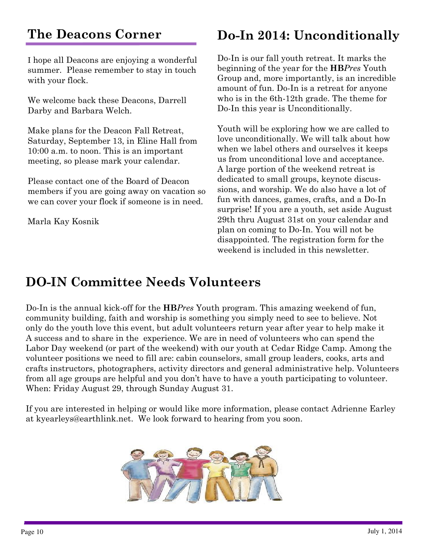### **The Deacons Corner**

I hope all Deacons are enjoying a wonderful summer. Please remember to stay in touch with your flock.

We welcome back these Deacons, Darrell Darby and Barbara Welch.

Make plans for the Deacon Fall Retreat, Saturday, September 13, in Eline Hall from 10:00 a.m. to noon. This is an important meeting, so please mark your calendar.

Please contact one of the Board of Deacon members if you are going away on vacation so we can cover your flock if someone is in need.

Marla Kay Kosnik

#### **Do-In 2014: Unconditionally**

Do-In is our fall youth retreat. It marks the beginning of the year for the **HB***Pres* Youth Group and, more importantly, is an incredible amount of fun. Do-In is a retreat for anyone who is in the 6th-12th grade. The theme for Do-In this year is Unconditionally.

Youth will be exploring how we are called to love unconditionally. We will talk about how when we label others and ourselves it keeps us from unconditional love and acceptance. A large portion of the weekend retreat is dedicated to small groups, keynote discussions, and worship. We do also have a lot of fun with dances, games, crafts, and a Do-In surprise! If you are a youth, set aside August 29th thru August 31st on your calendar and plan on coming to Do-In. You will not be disappointed. The registration form for the weekend is included in this newsletter.

#### **DO-IN Committee Needs Volunteers**

Do-In is the annual kick-off for the **HB***Pres* Youth program. This amazing weekend of fun, community building, faith and worship is something you simply need to see to believe. Not only do the youth love this event, but adult volunteers return year after year to help make it A success and to share in the experience. We are in need of volunteers who can spend the Labor Day weekend (or part of the weekend) with our youth at Cedar Ridge Camp. Among the volunteer positions we need to fill are: cabin counselors, small group leaders, cooks, arts and crafts instructors, photographers, activity directors and general administrative help. Volunteers from all age groups are helpful and you don't have to have a youth participating to volunteer. When: Friday August 29, through Sunday August 31.

If you are interested in helping or would like more information, please contact Adrienne Earley at kyearleys@earthlink.net. We look forward to hearing from you soon.

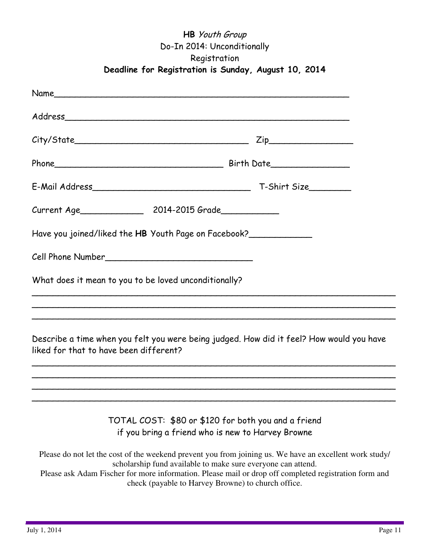#### **HB** Youth Group Do-In 2014: Unconditionally Registration **Deadline for Registration is Sunday, August 10, 2014**

|                                        | Have you joined/liked the HB Youth Page on Facebook?                                                     |                                                                                                         |  |  |
|----------------------------------------|----------------------------------------------------------------------------------------------------------|---------------------------------------------------------------------------------------------------------|--|--|
|                                        | Cell Phone Number                                                                                        |                                                                                                         |  |  |
|                                        | What does it mean to you to be loved unconditionally?                                                    |                                                                                                         |  |  |
| liked for that to have been different? |                                                                                                          | Describe a time when you felt you were being judged. How did it feel? How would you have                |  |  |
|                                        | TOTAL COST: \$80 or \$120 for both you and a friend<br>if you bring a friend who is new to Harvey Browne |                                                                                                         |  |  |
|                                        | scholarship fund available to make sure everyone can attend.                                             | Please do not let the cost of the weekend prevent you from joining us. We have an excellent work study/ |  |  |

Please ask Adam Fischer for more information. Please mail or drop off completed registration form and check (payable to Harvey Browne) to church office.